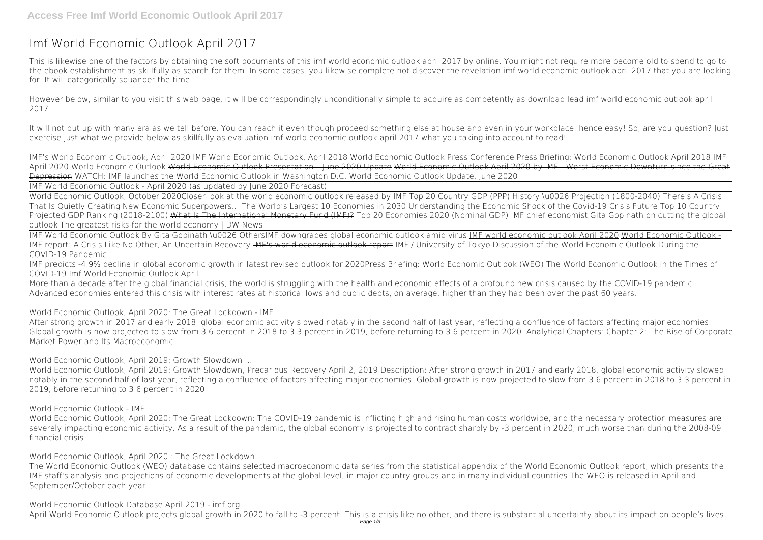## **Imf World Economic Outlook April 2017**

This is likewise one of the factors by obtaining the soft documents of this **imf world economic outlook april 2017** by online. You might not require more become old to spend to go to the ebook establishment as skillfully as search for them. In some cases, you likewise complete not discover the revelation imf world economic outlook april 2017 that you are looking for. It will categorically squander the time.

However below, similar to you visit this web page, it will be correspondingly unconditionally simple to acquire as competently as download lead imf world economic outlook april 2017

It will not put up with many era as we tell before. You can reach it even though proceed something else at house and even in your workplace. hence easy! So, are you question? Just exercise just what we provide below as skillfully as evaluation **imf world economic outlook april 2017** what you taking into account to read!

*IMF's World Economic Outlook, April 2020 IMF World Economic Outlook, April 2018* **World Economic Outlook Press Conference** Press Briefing: World Economic Outlook April 2018 *IMF April 2020 World Economic Outlook* World Economic Outlook Presentation – June 2020 Update World Economic Outlook April 2020 by IMF - Worst Economic Downturn since the Great Depression WATCH: IMF launches the World Economic Outlook in Washington D.C. World Economic Outlook Update, June 2020

IMF World Economic Outlook By Gita Gopinath \u0026 Others<del>IMF downgrades global economic outlook amid virus</del> IMF world economic outlook April 2020 World Economic Outlook -IMF report: A Crisis Like No Other, An Uncertain Recovery IMF's world economic outlook report *IMF / University of Tokyo Discussion of the World Economic Outlook During the COVID-19 Pandemic*

IMF World Economic Outlook - April 2020 (as updated by June 2020 Forecast)

World Economic Outlook, October 2020*Closer look at the world economic outlook released by IMF* Top 20 Country GDP (PPP) History \u0026 Projection (1800-2040) There's A Crisis That Is Quietly Creating New Economic Superpowers... The World's Largest 10 Economies in 2030 *Understanding the Economic Shock of the Covid-19 Crisis* **Future Top 10 Country Projected GDP Ranking (2018-2100)** What Is The International Monetary Fund (IMF)? Top 20 Economies 2020 (Nominal GDP) *IMF chief economist Gita Gopinath on cutting the global outlook* The greatest risks for the world economy | DW News

IMF predicts -4.9% decline in global economic growth in latest revised outlook for 2020*Press Briefing: World Economic Outlook (WEO)* The World Economic Outlook in the Times of COVID-19 **Imf World Economic Outlook April**

More than a decade after the global financial crisis, the world is struggling with the health and economic effects of a profound new crisis caused by the COVID-19 pandemic. Advanced economies entered this crisis with interest rates at historical lows and public debts, on average, higher than they had been over the past 60 years.

**World Economic Outlook, April 2020: The Great Lockdown - IMF**

After strong growth in 2017 and early 2018, global economic activity slowed notably in the second half of last year, reflecting a confluence of factors affecting major economies. Global growth is now projected to slow from 3.6 percent in 2018 to 3.3 percent in 2019, before returning to 3.6 percent in 2020. Analytical Chapters: Chapter 2: The Rise of Corporate Market Power and Its Macroeconomic ...

**World Economic Outlook, April 2019: Growth Slowdown ...**

World Economic Outlook, April 2019: Growth Slowdown, Precarious Recovery April 2, 2019 Description: After strong growth in 2017 and early 2018, global economic activity slowed notably in the second half of last year, reflecting a confluence of factors affecting major economies. Global growth is now projected to slow from 3.6 percent in 2018 to 3.3 percent in 2019, before returning to 3.6 percent in 2020.

**World Economic Outlook - IMF**

World Economic Outlook, April 2020: The Great Lockdown: The COVID-19 pandemic is inflicting high and rising human costs worldwide, and the necessary protection measures are severely impacting economic activity. As a result of the pandemic, the global economy is projected to contract sharply by -3 percent in 2020, much worse than during the 2008-09 financial crisis.

**World Economic Outlook, April 2020 : The Great Lockdown:**

The World Economic Outlook (WEO) database contains selected macroeconomic data series from the statistical appendix of the World Economic Outlook report, which presents the IMF staff's analysis and projections of economic developments at the global level, in major country groups and in many individual countries.The WEO is released in April and September/October each year.

**World Economic Outlook Database April 2019 - imf.org** April World Economic Outlook projects global growth in 2020 to fall to -3 percent. This is a crisis like no other, and there is substantial uncertainty about its impact on people's lives Page 1/3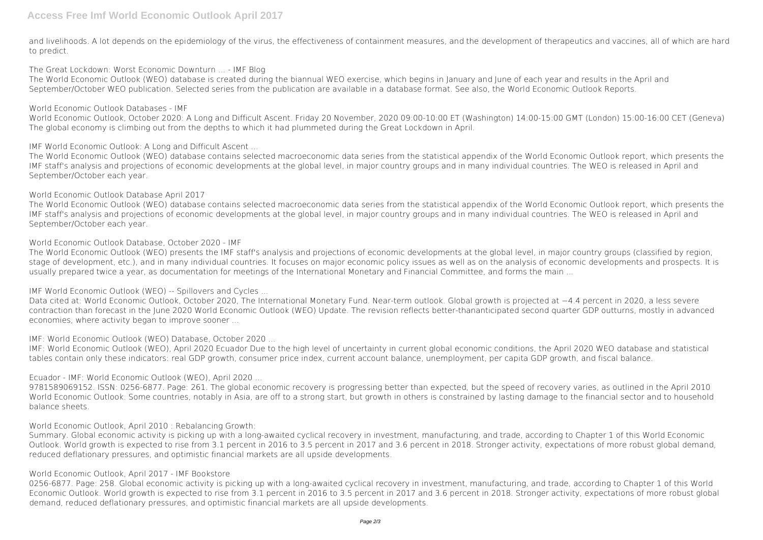and livelihoods. A lot depends on the epidemiology of the virus, the effectiveness of containment measures, and the development of therapeutics and vaccines, all of which are hard to predict.

**The Great Lockdown: Worst Economic Downturn ... - IMF Blog**

The World Economic Outlook (WEO) database is created during the biannual WEO exercise, which begins in January and June of each year and results in the April and September/October WEO publication. Selected series from the publication are available in a database format. See also, the World Economic Outlook Reports.

**World Economic Outlook Databases - IMF**

World Economic Outlook, October 2020: A Long and Difficult Ascent. Friday 20 November, 2020 09:00-10:00 ET (Washington) 14:00-15:00 GMT (London) 15:00-16:00 CET (Geneva) The global economy is climbing out from the depths to which it had plummeted during the Great Lockdown in April.

**IMF World Economic Outlook: A Long and Difficult Ascent ...**

The World Economic Outlook (WEO) database contains selected macroeconomic data series from the statistical appendix of the World Economic Outlook report, which presents the IMF staff's analysis and projections of economic developments at the global level, in major country groups and in many individual countries. The WEO is released in April and September/October each year.

**World Economic Outlook Database April 2017**

The World Economic Outlook (WEO) database contains selected macroeconomic data series from the statistical appendix of the World Economic Outlook report, which presents the IMF staff's analysis and projections of economic developments at the global level, in major country groups and in many individual countries. The WEO is released in April and September/October each year.

**World Economic Outlook Database, October 2020 - IMF**

The World Economic Outlook (WEO) presents the IMF staff's analysis and projections of economic developments at the global level, in major country groups (classified by region, stage of development, etc.), and in many individual countries. It focuses on major economic policy issues as well as on the analysis of economic developments and prospects. It is usually prepared twice a year, as documentation for meetings of the International Monetary and Financial Committee, and forms the main ...

**IMF World Economic Outlook (WEO) -- Spillovers and Cycles ...**

Data cited at: World Economic Outlook, October 2020, The International Monetary Fund. Near-term outlook. Global growth is projected at −4.4 percent in 2020, a less severe contraction than forecast in the June 2020 World Economic Outlook (WEO) Update. The revision reflects better-thananticipated second quarter GDP outturns, mostly in advanced economies, where activity began to improve sooner ...

**IMF: World Economic Outlook (WEO) Database, October 2020 ...**

IMF: World Economic Outlook (WEO), April 2020 Ecuador Due to the high level of uncertainty in current global economic conditions, the April 2020 WEO database and statistical tables contain only these indicators: real GDP growth, consumer price index, current account balance, unemployment, per capita GDP growth, and fiscal balance.

**Ecuador - IMF: World Economic Outlook (WEO), April 2020 ...**

9781589069152. ISSN: 0256-6877. Page: 261. The global economic recovery is progressing better than expected, but the speed of recovery varies, as outlined in the April 2010 World Economic Outlook. Some countries, notably in Asia, are off to a strong start, but growth in others is constrained by lasting damage to the financial sector and to household balance sheets.

**World Economic Outlook, April 2010 : Rebalancing Growth:**

Summary. Global economic activity is picking up with a long-awaited cyclical recovery in investment, manufacturing, and trade, according to Chapter 1 of this World Economic Outlook. World growth is expected to rise from 3.1 percent in 2016 to 3.5 percent in 2017 and 3.6 percent in 2018. Stronger activity, expectations of more robust global demand, reduced deflationary pressures, and optimistic financial markets are all upside developments.

## **World Economic Outlook, April 2017 - IMF Bookstore**

0256-6877. Page: 258. Global economic activity is picking up with a long-awaited cyclical recovery in investment, manufacturing, and trade, according to Chapter 1 of this World Economic Outlook. World growth is expected to rise from 3.1 percent in 2016 to 3.5 percent in 2017 and 3.6 percent in 2018. Stronger activity, expectations of more robust global demand, reduced deflationary pressures, and optimistic financial markets are all upside developments.